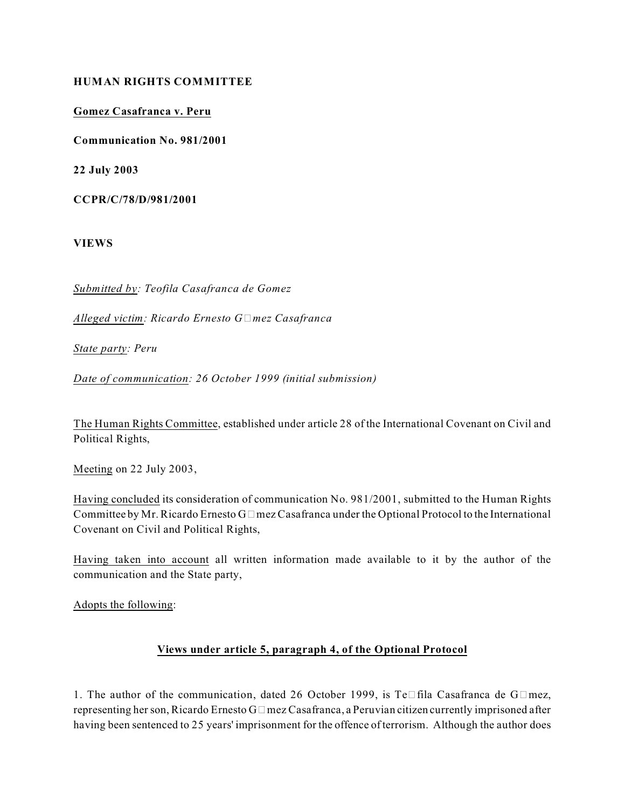#### **HUMAN RIGHTS COMMITTEE**

#### **Gomez Casafranca v. Peru**

**Communication No. 981/2001**

**22 July 2003**

**CCPR/C/78/D/981/2001**

**VIEWS**

*Submitted by: Teofila Casafranca de Gomez*

*Alleged victim: Ricardo Ernesto G*□mez Casafranca

*State party: Peru*

*Date of communication: 26 October 1999 (initial submission)* 

The Human Rights Committee, established under article 28 of the International Covenant on Civil and Political Rights,

Meeting on 22 July 2003,

Having concluded its consideration of communication No. 981/2001, submitted to the Human Rights Committee by Mr. Ricardo Ernesto G $\Box$  mez Casafranca under the Optional Protocol to the International Covenant on Civil and Political Rights,

Having taken into account all written information made available to it by the author of the communication and the State party,

Adopts the following:

### **Views under article 5, paragraph 4, of the Optional Protocol**

1. The author of the communication, dated 26 October 1999, is  $Te\Box$  fila Casafranca de G $\Box$  mez, representing her son, Ricardo Ernesto G $\Box$  mez Casafranca, a Peruvian citizen currently imprisoned after having been sentenced to 25 years' imprisonment for the offence of terrorism. Although the author does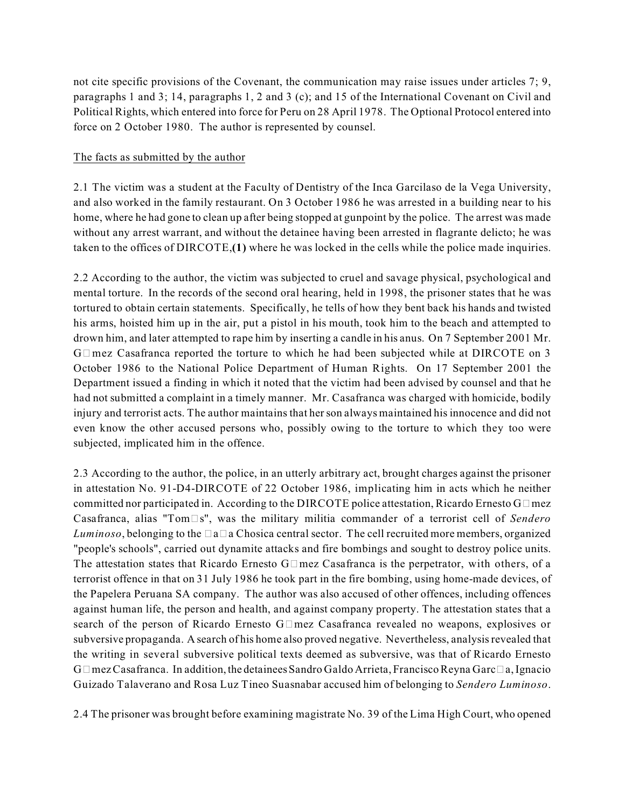not cite specific provisions of the Covenant, the communication may raise issues under articles 7; 9, paragraphs 1 and 3; 14, paragraphs 1, 2 and 3 (c); and 15 of the International Covenant on Civil and Political Rights, which entered into force for Peru on 28 April 1978. The Optional Protocol entered into force on 2 October 1980. The author is represented by counsel.

#### The facts as submitted by the author

2.1 The victim was a student at the Faculty of Dentistry of the Inca Garcilaso de la Vega University, and also worked in the family restaurant. On 3 October 1986 he was arrested in a building near to his home, where he had gone to clean up after being stopped at gunpoint by the police. The arrest was made without any arrest warrant, and without the detainee having been arrested in flagrante delicto; he was taken to the offices of DIRCOTE,**(1)** where he was locked in the cells while the police made inquiries.

2.2 According to the author, the victim was subjected to cruel and savage physical, psychological and mental torture. In the records of the second oral hearing, held in 1998, the prisoner states that he was tortured to obtain certain statements. Specifically, he tells of how they bent back his hands and twisted his arms, hoisted him up in the air, put a pistol in his mouth, took him to the beach and attempted to drown him, and later attempted to rape him by inserting a candle in his anus. On 7 September 2001 Mr.  $G \Box$  mez Casafranca reported the torture to which he had been subjected while at DIRCOTE on 3 October 1986 to the National Police Department of Human Rights. On 17 September 2001 the Department issued a finding in which it noted that the victim had been advised by counsel and that he had not submitted a complaint in a timely manner. Mr. Casafranca was charged with homicide, bodily injury and terrorist acts. The author maintains that her son always maintained his innocence and did not even know the other accused persons who, possibly owing to the torture to which they too were subjected, implicated him in the offence.

2.3 According to the author, the police, in an utterly arbitrary act, brought charges against the prisoner in attestation No. 91-D4-DIRCOTE of 22 October 1986, implicating him in acts which he neither committed nor participated in. According to the DIRCOTE police attestation, Ricardo Ernesto G $\Box$ mez Casafranca, alias "Tom<sup>[1]</sup>s", was the military militia commander of a terrorist cell of *Sendero Luminoso*, belonging to the  $\Box$ a $\Box$ a Chosica central sector. The cell recruited more members, organized "people's schools", carried out dynamite attacks and fire bombings and sought to destroy police units. The attestation states that Ricardo Ernesto  $G \square$  mez Casafranca is the perpetrator, with others, of a terrorist offence in that on 31 July 1986 he took part in the fire bombing, using home-made devices, of the Papelera Peruana SA company. The author was also accused of other offences, including offences against human life, the person and health, and against company property. The attestation states that a search of the person of Ricardo Ernesto G $\square$  mez Casafranca revealed no weapons, explosives or subversive propaganda. A search of his home also proved negative. Nevertheless, analysis revealed that the writing in several subversive political texts deemed as subversive, was that of Ricardo Ernesto  $G \Box$  mez Casafranca. In addition, the detainees Sandro Galdo Arrieta, Francisco Reyna Garc $\Box$ a, Ignacio Guizado Talaverano and Rosa Luz Tineo Suasnabar accused him of belonging to *Sendero Luminoso*.

2.4 The prisoner was brought before examining magistrate No. 39 of the Lima High Court, who opened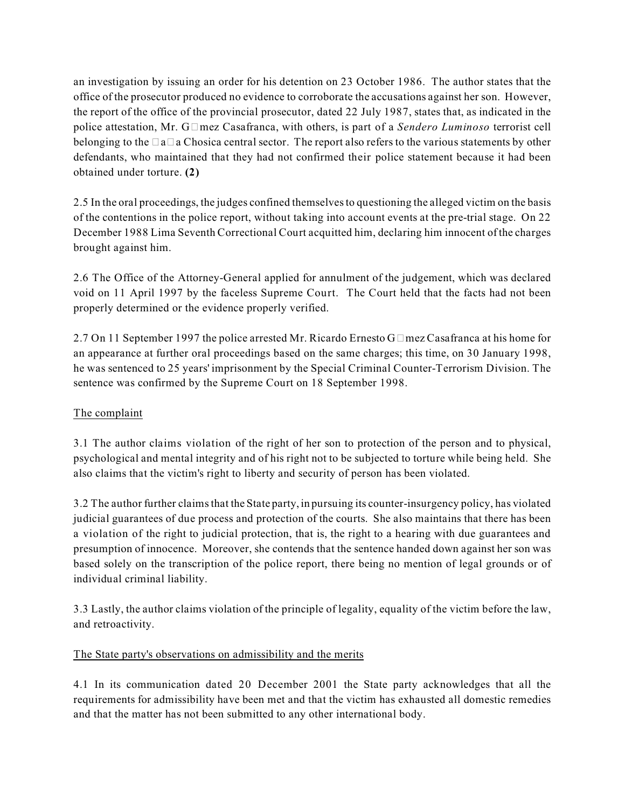an investigation by issuing an order for his detention on 23 October 1986. The author states that the office of the prosecutor produced no evidence to corroborate the accusations against her son. However, the report of the office of the provincial prosecutor, dated 22 July 1987, states that, as indicated in the police attestation, Mr. G $\square$ mez Casafranca, with others, is part of a *Sendero Luminoso* terrorist cell belonging to the  $\Box a \Box a$  Chosica central sector. The report also refers to the various statements by other defendants, who maintained that they had not confirmed their police statement because it had been obtained under torture. **(2)**

2.5 In the oral proceedings, the judges confined themselves to questioning the alleged victim on the basis of the contentions in the police report, without taking into account events at the pre-trial stage. On 22 December 1988 Lima Seventh Correctional Court acquitted him, declaring him innocent of the charges brought against him.

2.6 The Office of the Attorney-General applied for annulment of the judgement, which was declared void on 11 April 1997 by the faceless Supreme Court. The Court held that the facts had not been properly determined or the evidence properly verified.

2.7 On 11 September 1997 the police arrested Mr. Ricardo Ernesto  $G \Box$  mez Casafranca at his home for an appearance at further oral proceedings based on the same charges; this time, on 30 January 1998, he was sentenced to 25 years' imprisonment by the Special Criminal Counter-Terrorism Division. The sentence was confirmed by the Supreme Court on 18 September 1998.

# The complaint

3.1 The author claims violation of the right of her son to protection of the person and to physical, psychological and mental integrity and of his right not to be subjected to torture while being held. She also claims that the victim's right to liberty and security of person has been violated.

3.2 The author further claims that the State party, in pursuing its counter-insurgency policy, has violated judicial guarantees of due process and protection of the courts. She also maintains that there has been a violation of the right to judicial protection, that is, the right to a hearing with due guarantees and presumption of innocence. Moreover, she contends that the sentence handed down against her son was based solely on the transcription of the police report, there being no mention of legal grounds or of individual criminal liability.

3.3 Lastly, the author claims violation of the principle of legality, equality of the victim before the law, and retroactivity.

### The State party's observations on admissibility and the merits

4.1 In its communication dated 20 December 2001 the State party acknowledges that all the requirements for admissibility have been met and that the victim has exhausted all domestic remedies and that the matter has not been submitted to any other international body.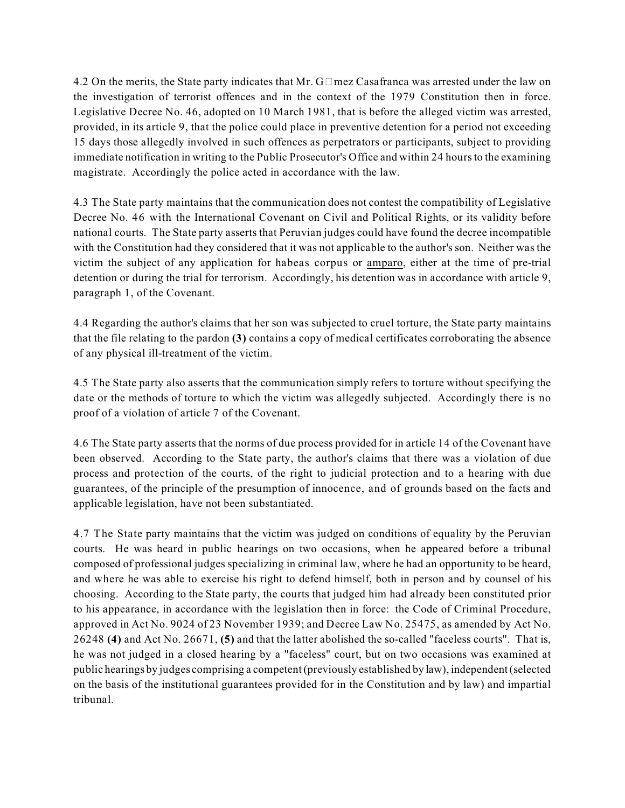4.2 On the merits, the State party indicates that Mr.  $G \Box$  mez Casafranca was arrested under the law on the investigation of terrorist offences and in the context of the 1979 Constitution then in force. Legislative Decree No. 46, adopted on 10 March 1981, that is before the alleged victim was arrested, provided, in its article 9, that the police could place in preventive detention for a period not exceeding 15 days those allegedly involved in such offences as perpetrators or participants, subject to providing immediate notification in writing to the Public Prosecutor's Office and within 24 hours to the examining magistrate. Accordingly the police acted in accordance with the law.

4.3 The State party maintains that the communication does not contest the compatibility of Legislative Decree No. 46 with the International Covenant on Civil and Political Rights, or its validity before national courts. The State party asserts that Peruvian judges could have found the decree incompatible with the Constitution had they considered that it was not applicable to the author's son. Neither was the victim the subject of any application for habeas corpus or amparo, either at the time of pre-trial detention or during the trial for terrorism. Accordingly, his detention was in accordance with article 9, paragraph 1, of the Covenant.

4.4 Regarding the author's claims that her son was subjected to cruel torture, the State party maintains that the file relating to the pardon **(3)** contains a copy of medical certificates corroborating the absence of any physical ill-treatment of the victim.

4.5 The State party also asserts that the communication simply refers to torture without specifying the date or the methods of torture to which the victim was allegedly subjected. Accordingly there is no proof of a violation of article 7 of the Covenant.

4.6 The State party asserts that the norms of due process provided for in article 14 of the Covenant have been observed. According to the State party, the author's claims that there was a violation of due process and protection of the courts, of the right to judicial protection and to a hearing with due guarantees, of the principle of the presumption of innocence, and of grounds based on the facts and applicable legislation, have not been substantiated.

4.7 The State party maintains that the victim was judged on conditions of equality by the Peruvian courts. He was heard in public hearings on two occasions, when he appeared before a tribunal composed of professional judges specializing in criminal law, where he had an opportunity to be heard, and where he was able to exercise his right to defend himself, both in person and by counsel of his choosing. According to the State party, the courts that judged him had already been constituted prior to his appearance, in accordance with the legislation then in force: the Code of Criminal Procedure, approved in Act No. 9024 of 23 November 1939; and Decree Law No. 25475, as amended by Act No. 26248 **(4)** and Act No. 26671, **(5)** and that the latter abolished the so-called "faceless courts". That is, he was not judged in a closed hearing by a "faceless" court, but on two occasions was examined at public hearings by judges comprising a competent (previously established by law), independent (selected on the basis of the institutional guarantees provided for in the Constitution and by law) and impartial tribunal.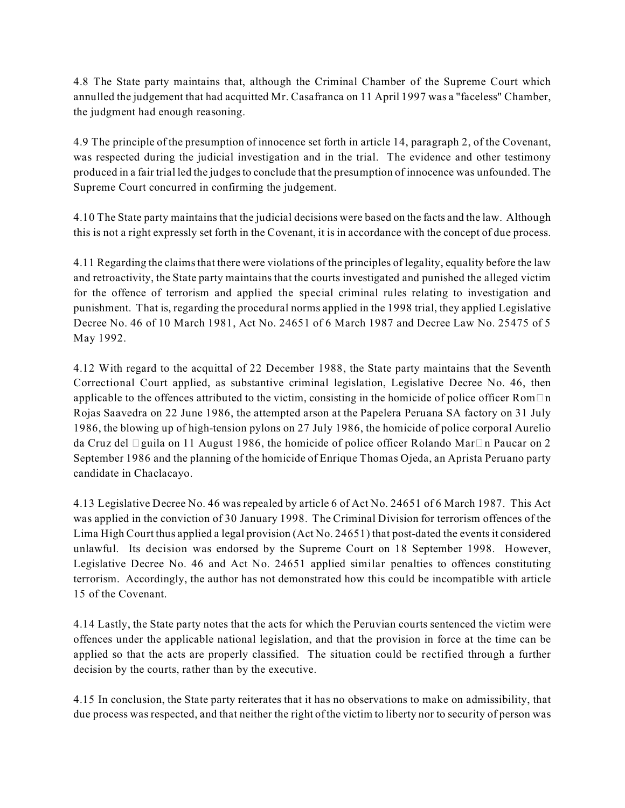4.8 The State party maintains that, although the Criminal Chamber of the Supreme Court which annulled the judgement that had acquitted Mr. Casafranca on 11 April 1997 was a "faceless" Chamber, the judgment had enough reasoning.

4.9 The principle of the presumption of innocence set forth in article 14, paragraph 2, of the Covenant, was respected during the judicial investigation and in the trial. The evidence and other testimony produced in a fair trial led the judges to conclude that the presumption of innocence was unfounded. The Supreme Court concurred in confirming the judgement.

4.10 The State party maintains that the judicial decisions were based on the facts and the law. Although this is not a right expressly set forth in the Covenant, it is in accordance with the concept of due process.

4.11 Regarding the claims that there were violations of the principles of legality, equality before the law and retroactivity, the State party maintains that the courts investigated and punished the alleged victim for the offence of terrorism and applied the special criminal rules relating to investigation and punishment. That is, regarding the procedural norms applied in the 1998 trial, they applied Legislative Decree No. 46 of 10 March 1981, Act No. 24651 of 6 March 1987 and Decree Law No. 25475 of 5 May 1992.

4.12 With regard to the acquittal of 22 December 1988, the State party maintains that the Seventh Correctional Court applied, as substantive criminal legislation, Legislative Decree No. 46, then applicable to the offences attributed to the victim, consisting in the homicide of police officer Rom $\Box$ n Rojas Saavedra on 22 June 1986, the attempted arson at the Papelera Peruana SA factory on 31 July 1986, the blowing up of high-tension pylons on 27 July 1986, the homicide of police corporal Aurelio da Cruz del  $\Box$ guila on 11 August 1986, the homicide of police officer Rolando Mar $\Box$ n Paucar on 2 September 1986 and the planning of the homicide of Enrique Thomas Ojeda, an Aprista Peruano party candidate in Chaclacayo.

4.13 Legislative Decree No. 46 was repealed by article 6 of Act No. 24651 of 6 March 1987. This Act was applied in the conviction of 30 January 1998. The Criminal Division for terrorism offences of the Lima High Court thus applied a legal provision (Act No. 24651) that post-dated the events it considered unlawful. Its decision was endorsed by the Supreme Court on 18 September 1998. However, Legislative Decree No. 46 and Act No. 24651 applied similar penalties to offences constituting terrorism. Accordingly, the author has not demonstrated how this could be incompatible with article 15 of the Covenant.

4.14 Lastly, the State party notes that the acts for which the Peruvian courts sentenced the victim were offences under the applicable national legislation, and that the provision in force at the time can be applied so that the acts are properly classified. The situation could be rectified through a further decision by the courts, rather than by the executive.

4.15 In conclusion, the State party reiterates that it has no observations to make on admissibility, that due process was respected, and that neither the right ofthe victim to liberty nor to security of person was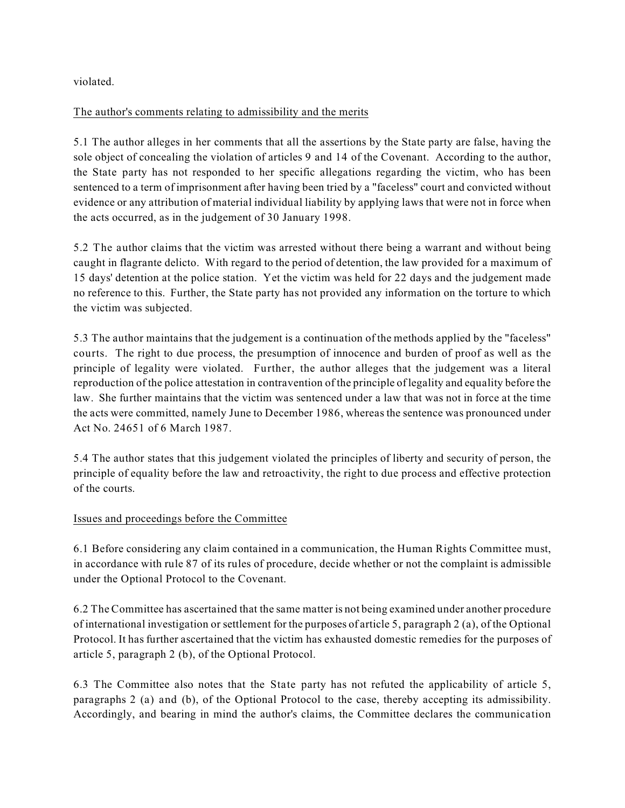violated.

## The author's comments relating to admissibility and the merits

5.1 The author alleges in her comments that all the assertions by the State party are false, having the sole object of concealing the violation of articles 9 and 14 of the Covenant. According to the author, the State party has not responded to her specific allegations regarding the victim, who has been sentenced to a term of imprisonment after having been tried by a "faceless" court and convicted without evidence or any attribution of material individual liability by applying laws that were not in force when the acts occurred, as in the judgement of 30 January 1998.

5.2 The author claims that the victim was arrested without there being a warrant and without being caught in flagrante delicto. With regard to the period of detention, the law provided for a maximum of 15 days' detention at the police station. Yet the victim was held for 22 days and the judgement made no reference to this. Further, the State party has not provided any information on the torture to which the victim was subjected.

5.3 The author maintains that the judgement is a continuation of the methods applied by the "faceless" courts. The right to due process, the presumption of innocence and burden of proof as well as the principle of legality were violated. Further, the author alleges that the judgement was a literal reproduction of the police attestation in contravention of the principle of legality and equality before the law. She further maintains that the victim was sentenced under a law that was not in force at the time the acts were committed, namely June to December 1986, whereas the sentence was pronounced under Act No. 24651 of 6 March 1987.

5.4 The author states that this judgement violated the principles of liberty and security of person, the principle of equality before the law and retroactivity, the right to due process and effective protection of the courts.

### Issues and proceedings before the Committee

6.1 Before considering any claim contained in a communication, the Human Rights Committee must, in accordance with rule 87 of its rules of procedure, decide whether or not the complaint is admissible under the Optional Protocol to the Covenant.

6.2 The Committee has ascertained that the same matter is not being examined under another procedure of international investigation or settlement for the purposes of article 5, paragraph 2 (a), of the Optional Protocol. It has further ascertained that the victim has exhausted domestic remedies for the purposes of article 5, paragraph 2 (b), of the Optional Protocol.

6.3 The Committee also notes that the State party has not refuted the applicability of article 5, paragraphs 2 (a) and (b), of the Optional Protocol to the case, thereby accepting its admissibility. Accordingly, and bearing in mind the author's claims, the Committee declares the communication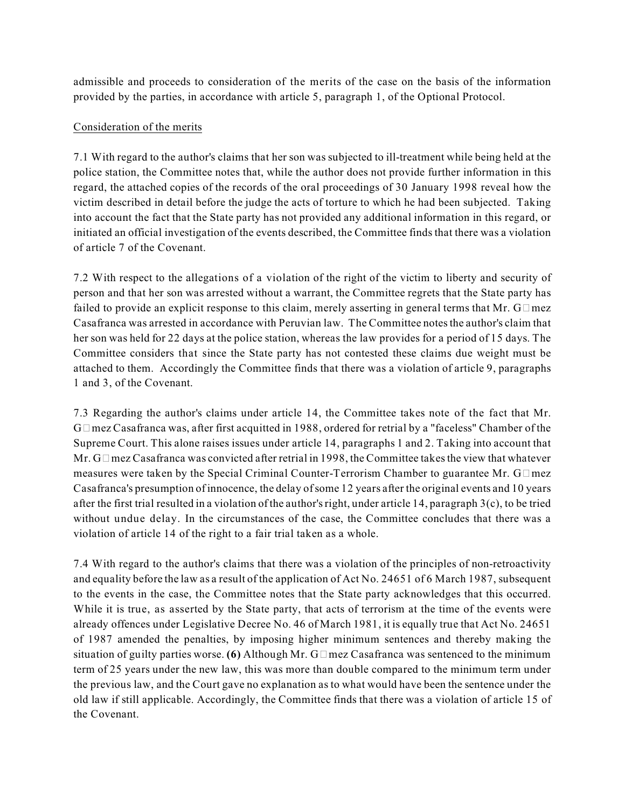admissible and proceeds to consideration of the merits of the case on the basis of the information provided by the parties, in accordance with article 5, paragraph 1, of the Optional Protocol.

### Consideration of the merits

7.1 With regard to the author's claims that her son was subjected to ill-treatment while being held at the police station, the Committee notes that, while the author does not provide further information in this regard, the attached copies of the records of the oral proceedings of 30 January 1998 reveal how the victim described in detail before the judge the acts of torture to which he had been subjected. Taking into account the fact that the State party has not provided any additional information in this regard, or initiated an official investigation of the events described, the Committee finds that there was a violation of article 7 of the Covenant.

7.2 With respect to the allegations of a violation of the right of the victim to liberty and security of person and that her son was arrested without a warrant, the Committee regrets that the State party has failed to provide an explicit response to this claim, merely asserting in general terms that Mr. G $\Box$ mez Casafranca was arrested in accordance with Peruvian law. The Committee notes the author's claim that her son was held for 22 days at the police station, whereas the law provides for a period of 15 days. The Committee considers that since the State party has not contested these claims due weight must be attached to them. Accordingly the Committee finds that there was a violation of article 9, paragraphs 1 and 3, of the Covenant.

7.3 Regarding the author's claims under article 14, the Committee takes note of the fact that Mr.  $G \Box$  mez Casafranca was, after first acquitted in 1988, ordered for retrial by a "faceless" Chamber of the Supreme Court. This alone raises issues under article 14, paragraphs 1 and 2. Taking into account that Mr.  $G\Box$  mez Casafranca was convicted after retrial in 1998, the Committee takes the view that whatever measures were taken by the Special Criminal Counter-Terrorism Chamber to guarantee Mr.  $G \Box$ mez Casafranca's presumption of innocence, the delay of some 12 years after the original events and 10 years after the first trial resulted in a violation of the author'sright, under article 14, paragraph 3(c), to be tried without undue delay. In the circumstances of the case, the Committee concludes that there was a violation of article 14 of the right to a fair trial taken as a whole.

7.4 With regard to the author's claims that there was a violation of the principles of non-retroactivity and equality before the law as a result of the application of Act No. 24651 of 6 March 1987, subsequent to the events in the case, the Committee notes that the State party acknowledges that this occurred. While it is true, as asserted by the State party, that acts of terrorism at the time of the events were already offences under Legislative Decree No. 46 of March 1981, it is equally true that Act No. 24651 of 1987 amended the penalties, by imposing higher minimum sentences and thereby making the situation of guilty parties worse. **(6)** Although Mr. G $\Box$  mez Casafranca was sentenced to the minimum term of 25 years under the new law, this was more than double compared to the minimum term under the previous law, and the Court gave no explanation as to what would have been the sentence under the old law if still applicable. Accordingly, the Committee finds that there was a violation of article 15 of the Covenant.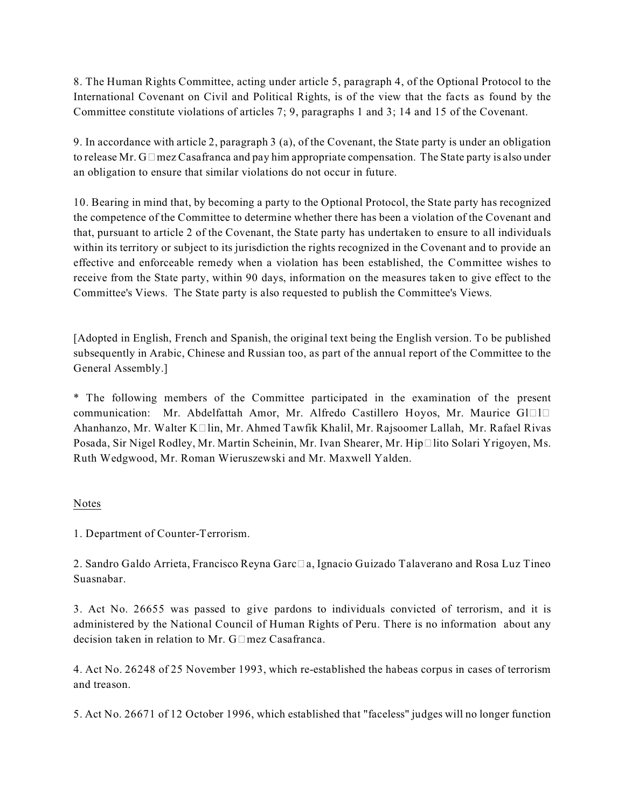8. The Human Rights Committee, acting under article 5, paragraph 4, of the Optional Protocol to the International Covenant on Civil and Political Rights, is of the view that the facts as found by the Committee constitute violations of articles 7; 9, paragraphs 1 and 3; 14 and 15 of the Covenant.

9. In accordance with article 2, paragraph 3 (a), of the Covenant, the State party is under an obligation to release Mr. G $\Box$  mez Casafranca and pay him appropriate compensation. The State party is also under an obligation to ensure that similar violations do not occur in future.

10. Bearing in mind that, by becoming a party to the Optional Protocol, the State party has recognized the competence of the Committee to determine whether there has been a violation of the Covenant and that, pursuant to article 2 of the Covenant, the State party has undertaken to ensure to all individuals within its territory or subject to its jurisdiction the rights recognized in the Covenant and to provide an effective and enforceable remedy when a violation has been established, the Committee wishes to receive from the State party, within 90 days, information on the measures taken to give effect to the Committee's Views. The State party is also requested to publish the Committee's Views.

[Adopted in English, French and Spanish, the original text being the English version. To be published subsequently in Arabic, Chinese and Russian too, as part of the annual report of the Committee to the General Assembly.]

\* The following members of the Committee participated in the examination of the present communication: Mr. Abdelfattah Amor, Mr. Alfredo Castillero Hoyos, Mr. Maurice  $GI \Box I \Box$ Ahanhanzo, Mr. Walter  $K \Box$ lin, Mr. Ahmed Tawfik Khalil, Mr. Rajsoomer Lallah, Mr. Rafael Rivas Posada, Sir Nigel Rodley, Mr. Martin Scheinin, Mr. Ivan Shearer, Mr. Hip□lito Solari Yrigoyen, Ms. Ruth Wedgwood, Mr. Roman Wieruszewski and Mr. Maxwell Yalden.

### Notes

1. Department of Counter-Terrorism.

2. Sandro Galdo Arrieta, Francisco Reyna Garc□a, Ignacio Guizado Talaverano and Rosa Luz Tineo Suasnabar.

3. Act No. 26655 was passed to give pardons to individuals convicted of terrorism, and it is administered by the National Council of Human Rights of Peru. There is no information about any decision taken in relation to Mr.  $G \Box$  mez Casafranca.

4. Act No. 26248 of 25 November 1993, which re-established the habeas corpus in cases of terrorism and treason.

5. Act No. 26671 of 12 October 1996, which established that "faceless" judges will no longer function